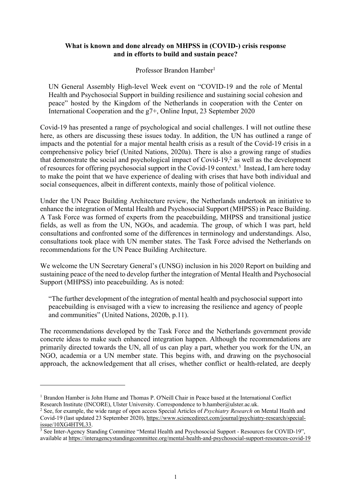## **What is known and done already on MHPSS in (COVID-) crisis response and in efforts to build and sustain peace?**

Professor Brandon Hamber<sup>1</sup>

UN General Assembly High-level Week event on "COVID-19 and the role of Mental Health and Psychosocial Support in building resilience and sustaining social cohesion and peace" hosted by the Kingdom of the Netherlands in cooperation with the Center on International Cooperation and the g7+, Online Input, 23 September 2020

Covid-19 has presented a range of psychological and social challenges. I will not outline these here, as others are discussing these issues today. In addition, the UN has outlined a range of impacts and the potential for a major mental health crisis as a result of the Covid-19 crisis in a comprehensive policy brief (United Nations, 2020a). There is also a growing range of studies that demonstrate the social and psychological impact of Covid-19, $2$  as well as the development of resources for offering psychosocial support in the Covid-19 context.<sup>3</sup> Instead, I am here today to make the point that we have experience of dealing with crises that have both individual and social consequences, albeit in different contexts, mainly those of political violence.

Under the UN Peace Building Architecture review, the Netherlands undertook an initiative to enhance the integration of Mental Health and Psychosocial Support (MHPSS) in Peace Building. A Task Force was formed of experts from the peacebuilding, MHPSS and transitional justice fields, as well as from the UN, NGOs, and academia. The group, of which I was part, held consultations and confronted some of the differences in terminology and understandings. Also, consultations took place with UN member states. The Task Force advised the Netherlands on recommendations for the UN Peace Building Architecture.

We welcome the UN Secretary General's (UNSG) inclusion in his 2020 Report on building and sustaining peace of the need to develop further the integration of Mental Health and Psychosocial Support (MHPSS) into peacebuilding. As is noted:

"The further development of the integration of mental health and psychosocial support into peacebuilding is envisaged with a view to increasing the resilience and agency of people and communities" (United Nations, 2020b, p.11).

The recommendations developed by the Task Force and the Netherlands government provide concrete ideas to make such enhanced integration happen. Although the recommendations are primarily directed towards the UN, all of us can play a part, whether you work for the UN, an NGO, academia or a UN member state. This begins with, and drawing on the psychosocial approach, the acknowledgement that all crises, whether conflict or health-related, are deeply

<sup>&</sup>lt;sup>1</sup> Brandon Hamber is John Hume and Thomas P. O'Neill Chair in Peace based at the International Conflict Research Institute (INCORE), Ulster University. Correspondence to b.hamber@ulster.ac.uk.

<sup>2</sup> See, for example, the wide range of open access Special Articles of *Psychiatry Research* on Mental Health and Covid-19 (last updated 23 September 2020), https://www.sciencedirect.com/journal/psychiatry-research/special-<br>issue/10XG4HT9L33.

 $\frac{1}{3}$  See Inter-Agency Standing Committee "Mental Health and Psychosocial Support - Resources for COVID-19", available at https://interagencystandingcommittee.org/mental-health-and-psychosocial-support-resources-covid-19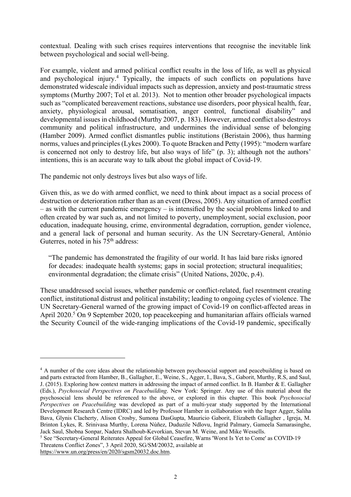contextual. Dealing with such crises requires interventions that recognise the inevitable link between psychological and social well-being.

For example, violent and armed political conflict results in the loss of life, as well as physical and psychological injury.4 Typically, the impacts of such conflicts on populations have demonstrated widescale individual impacts such as depression, anxiety and post-traumatic stress symptoms (Murthy 2007; Tol et al. 2013). Not to mention other broader psychological impacts such as "complicated bereavement reactions, substance use disorders, poor physical health, fear, anxiety, physiological arousal, somatisation, anger control, functional disability" and developmental issues in childhood (Murthy 2007, p. 183). However, armed conflict also destroys community and political infrastructure, and undermines the individual sense of belonging (Hamber 2009). Armed conflict dismantles public institutions (Beristain 2006), thus harming norms, values and principles (Lykes 2000). To quote Bracken and Petty (1995): "modern warfare is concerned not only to destroy life, but also ways of life" (p. 3); although not the authors' intentions, this is an accurate way to talk about the global impact of Covid-19.

The pandemic not only destroys lives but also ways of life.

Given this, as we do with armed conflict, we need to think about impact as a social process of destruction or deterioration rather than as an event (Dress, 2005). Any situation of armed conflict – as with the current pandemic emergency – is intensified by the social problems linked to and often created by war such as, and not limited to poverty, unemployment, social exclusion, poor education, inadequate housing, crime, environmental degradation, corruption, gender violence, and a general lack of personal and human security. As the UN Secretary-General, António Guterres, noted in his 75<sup>th</sup> address:

"The pandemic has demonstrated the fragility of our world. It has laid bare risks ignored for decades: inadequate health systems; gaps in social protection; structural inequalities; environmental degradation; the climate crisis" (United Nations, 2020c, p.4).

These unaddressed social issues, whether pandemic or conflict-related, fuel resentment creating conflict, institutional distrust and political instability; leading to ongoing cycles of violence. The UN Secretary-General warned of the growing impact of Covid-19 on conflict-affected areas in April 2020. <sup>5</sup> On 9 September 2020, top peacekeeping and humanitarian affairs officials warned the Security Council of the wide-ranging implications of the Covid-19 pandemic, specifically

<sup>&</sup>lt;sup>4</sup> A number of the core ideas about the relationship between psychosocial support and peacebuilding is based on and parts extracted from Hamber, B., Gallagher, E., Weine, S., Agger, I., Bava, S., Gaborit, Murthy, R.S, and Saul, J. (2015). Exploring how context matters in addressing the impact of armed conflict. In B. Hamber & E. Gallagher (Eds.), *Psychosocial Perspectives on Peacebuilding*. New York: Springer. Any use of this material about the psychosocial lens should be referenced to the above, or explored in this chapter. This book *Psychosocial Perspectives on Peacebuilding* was developed as part of a multi-year study supported by the International Development Research Centre (IDRC) and led by Professor Hamber in collaboration with the Inger Agger, Saliha Bava, Glynis Clacherty, Alison Crosby, Sumona DasGupta, Mauricio Gaborit, Elizabeth Gallagher , Igreja, M. Brinton Lykes, R. Srinivasa Murthy, Lorena Núñez, Duduzile Ndlovu, Ingrid Palmary, Gameela Samarasinghe, Jack Saul, Shobna Sonpar, Nadera Shalhoub-Kevorkian, Stevan M. Weine, and Mike Wessells.

<sup>5</sup> See "Secretary-General Reiterates Appeal for Global Ceasefire, Warns 'Worst Is Yet to Come' as COVID-19 Threatens Conflict Zones", 3 April 2020, SG/SM/20032, available at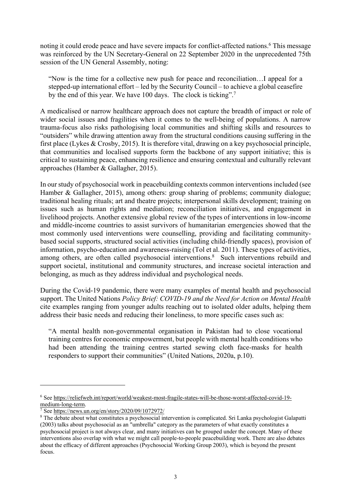noting it could erode peace and have severe impacts for conflict-affected nations.<sup>6</sup> This message was reinforced by the UN Secretary-General on 22 September 2020 in the unprecedented 75th session of the UN General Assembly, noting:

"Now is the time for a collective new push for peace and reconciliation…I appeal for a stepped-up international effort – led by the Security Council – to achieve a global ceasefire by the end of this year. We have 100 days. The clock is ticking".7

A medicalised or narrow healthcare approach does not capture the breadth of impact or role of wider social issues and fragilities when it comes to the well-being of populations. A narrow trauma-focus also risks pathologising local communities and shifting skills and resources to "outsiders" while drawing attention away from the structural conditions causing suffering in the first place (Lykes & Crosby, 2015). It is therefore vital, drawing on a key psychosocial principle, that communities and localised supports form the backbone of any support initiative; this is critical to sustaining peace, enhancing resilience and ensuring contextual and culturally relevant approaches (Hamber & Gallagher, 2015).

In our study of psychosocial work in peacebuilding contexts common interventions included (see Hamber & Gallagher, 2015), among others: group sharing of problems; community dialogue; traditional healing rituals; art and theatre projects; interpersonal skills development; training on issues such as human rights and mediation; reconciliation initiatives, and engagement in livelihood projects. Another extensive global review of the types of interventions in low-income and middle-income countries to assist survivors of humanitarian emergencies showed that the most commonly used interventions were counselling, providing and facilitating communitybased social supports, structured social activities (including child-friendly spaces), provision of information, psycho-education and awareness-raising (Tol et al. 2011). These types of activities, among others, are often called psychosocial interventions. <sup>8</sup> Such interventions rebuild and support societal, institutional and community structures, and increase societal interaction and belonging, as much as they address individual and psychological needs.

During the Covid-19 pandemic, there were many examples of mental health and psychosocial support. The United Nations *Policy Brief: COVID-19 and the Need for Action on Mental Health*  cite examples ranging from younger adults reaching out to isolated older adults, helping them address their basic needs and reducing their loneliness, to more specific cases such as:

"A mental health non-governmental organisation in Pakistan had to close vocational training centres for economic empowerment, but people with mental health conditions who had been attending the training centres started sewing cloth face-masks for health responders to support their communities" (United Nations, 2020a, p.10).

<sup>6</sup> See https://reliefweb.int/report/world/weakest-most-fragile-states-will-be-those-worst-affected-covid-19 medium-long-term.

<sup>7</sup> See https://news.un.org/en/story/2020/09/1072972/

<sup>&</sup>lt;sup>8</sup> The debate about what constitutes a psychosocial intervention is complicated. Sri Lanka psychologist Galapatti (2003) talks about psychosocial as an "umbrella" category as the parameters of what exactly constitutes a psychosocial project is not always clear, and many initiatives can be grouped under the concept. Many of these interventions also overlap with what we might call people-to-people peacebuilding work. There are also debates about the efficacy of different approaches (Psychosocial Working Group 2003), which is beyond the present focus.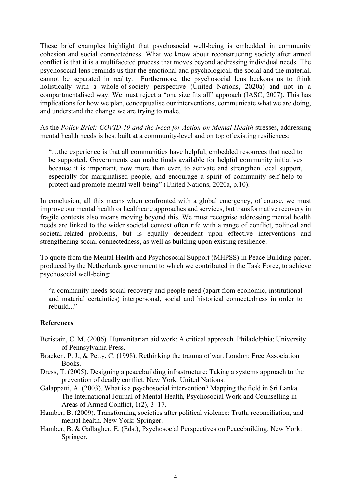These brief examples highlight that psychosocial well-being is embedded in community cohesion and social connectedness. What we know about reconstructing society after armed conflict is that it is a multifaceted process that moves beyond addressing individual needs. The psychosocial lens reminds us that the emotional and psychological, the social and the material, cannot be separated in reality. Furthermore, the psychosocial lens beckons us to think holistically with a whole-of-society perspective (United Nations, 2020a) and not in a compartmentalised way. We must reject a "one size fits all" approach (IASC, 2007). This has implications for how we plan, conceptualise our interventions, communicate what we are doing, and understand the change we are trying to make.

As the *Policy Brief: COVID-19 and the Need for Action on Mental Health* stresses, addressing mental health needs is best built at a community-level and on top of existing resiliences:

"…the experience is that all communities have helpful, embedded resources that need to be supported. Governments can make funds available for helpful community initiatives because it is important, now more than ever, to activate and strengthen local support, especially for marginalised people, and encourage a spirit of community self-help to protect and promote mental well-being" (United Nations, 2020a, p.10).

In conclusion, all this means when confronted with a global emergency, of course, we must improve our mental health or healthcare approaches and services, but transformative recovery in fragile contexts also means moving beyond this. We must recognise addressing mental health needs are linked to the wider societal context often rife with a range of conflict, political and societal-related problems, but is equally dependent upon effective interventions and strengthening social connectedness, as well as building upon existing resilience.

To quote from the Mental Health and Psychosocial Support (MHPSS) in Peace Building paper, produced by the Netherlands government to which we contributed in the Task Force, to achieve psychosocial well-being:

"a community needs social recovery and people need (apart from economic, institutional and material certainties) interpersonal, social and historical connectedness in order to rebuild..."

## **References**

- Beristain, C. M. (2006). Humanitarian aid work: A critical approach. Philadelphia: University of Pennsylvania Press.
- Bracken, P. J., & Petty, C. (1998). Rethinking the trauma of war. London: Free Association Books.
- Dress, T. (2005). Designing a peacebuilding infrastructure: Taking a systems approach to the prevention of deadly conflict. New York: United Nations.
- Galappatti, A. (2003). What is a psychosocial intervention? Mapping the field in Sri Lanka. The International Journal of Mental Health, Psychosocial Work and Counselling in Areas of Armed Conflict, 1(2), 3–17.
- Hamber, B. (2009). Transforming societies after political violence: Truth, reconciliation, and mental health. New York: Springer.
- Hamber, B. & Gallagher, E. (Eds.), Psychosocial Perspectives on Peacebuilding. New York: Springer.